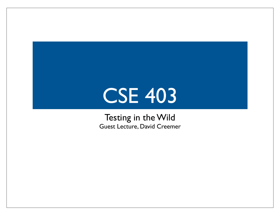# CSE 403

Testing in the Wild Guest Lecture, David Creemer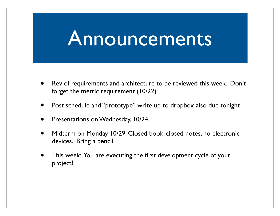### Announcements

- Rev of requirements and architecture to be reviewed this week. Don't forget the metric requirement (10/22)
- Post schedule and "prototype" write up to dropbox also due tonight
- Presentations on Wednesday, 10/24
- Midterm on Monday 10/29. Closed book, closed notes, no electronic devices. Bring a pencil
- This week: You are executing the first development cycle of your project!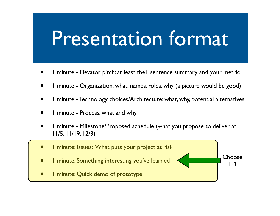## Presentation format

- 1 minute Elevator pitch: at least the1 sentence summary and your metric
- 1 minute Organization: what, names, roles, why (a picture would be good)
- 1 minute Technology choices/Architecture: what, why, potential alternatives
- 1 minute Process: what and why
- 1 minute Milestone/Proposed schedule (what you propose to deliver at 11/5, 11/19, 12/3)

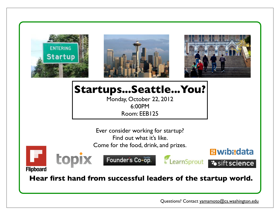

topix





#### **Startups...Seattle...You?**

Monday, October 22, 2012 6:00PM Room: EEB125

Ever consider working for startup? Find out what it's like.

Come for the food, drink, and prizes.



Founder's Co-op.



**Elwibi:data** 

**Flipboard** 

 **Hear first hand from successful leaders of the startup world.** 

Questions? Contact yamamoto@cs.washington.edu